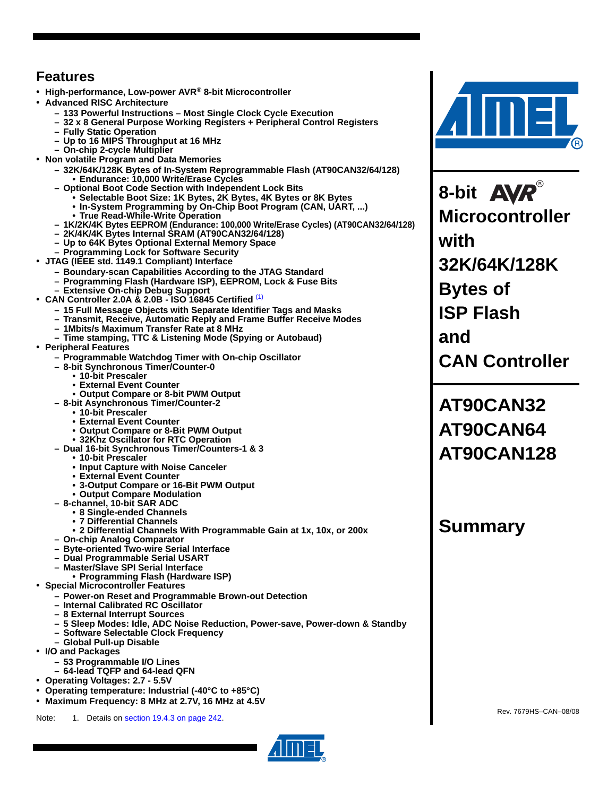# **Features**

- **High-performance, Low-power AVR® 8-bit Microcontroller**
- **Advanced RISC Architecture**
	- **133 Powerful Instructions Most Single Clock Cycle Execution**
	- **32 x 8 General Purpose Working Registers + Peripheral Control Registers**
	- **Fully Static Operation**
	- **Up to 16 MIPS Throughput at 16 MHz**
	- **On-chip 2-cycle Multiplier**
- **Non volatile Program and Data Memories**
	- **32K/64K/128K Bytes of In-System Reprogrammable Flash (AT90CAN32/64/128) • Endurance: 10,000 Write/Erase Cycles**
	- **Optional Boot Code Section with Independent Lock Bits**
		- **Selectable Boot Size: 1K Bytes, 2K Bytes, 4K Bytes or 8K Bytes**
		- **In-System Programming by On-Chip Boot Program (CAN, UART, ...)**
		- **True Read-While-Write Operation**
	- **1K/2K/4K Bytes EEPROM (Endurance: 100,000 Write/Erase Cycles) (AT90CAN32/64/128)**
	- **2K/4K/4K Bytes Internal SRAM (AT90CAN32/64/128)**
	- **Up to 64K Bytes Optional External Memory Space**
	- **Programming Lock for Software Security**
- **JTAG (IEEE std. 1149.1 Compliant) Interface**
	- **Boundary-scan Capabilities According to the JTAG Standard**
	- **Programming Flash (Hardware ISP), EEPROM, Lock & Fuse Bits – Extensive On-chip Debug Support**
- **CAN Controller 2.0A & 2.0B ISO 16845 Certified** [\(1\)](#page-0-0)
	- **15 Full Message Objects with Separate Identifier Tags and Masks**
	- **Transmit, Receive, Automatic Reply and Frame Buffer Receive Modes**
	- **1Mbits/s Maximum Transfer Rate at 8 MHz**
	- **Time stamping, TTC & Listening Mode (Spying or Autobaud)**
- **Peripheral Features**
	- **Programmable Watchdog Timer with On-chip Oscillator**
		- **8-bit Synchronous Timer/Counter-0** 
			- **10-bit Prescaler**
			- **External Event Counter**
			- **Output Compare or 8-bit PWM Output**
		- **8-bit Asynchronous Timer/Counter-2**
			- **10-bit Prescaler**
			- **External Event Counter**
			- **Output Compare or 8-Bit PWM Output**
			- **32Khz Oscillator for RTC Operation**
		- **Dual 16-bit Synchronous Timer/Counters-1 & 3** 
			- **10-bit Prescaler**
				- **Input Capture with Noise Canceler**
				- **External Event Counter**
				- **3-Output Compare or 16-Bit PWM Output**
		- **Output Compare Modulation**
		- **8-channel, 10-bit SAR ADC**
			- **8 Single-ended Channels**
			- **7 Differential Channels**
			- **2 Differential Channels With Programmable Gain at 1x, 10x, or 200x**
		- **On-chip Analog Comparator**
		- **Byte-oriented Two-wire Serial Interface**
		- **Dual Programmable Serial USART**
		- **Master/Slave SPI Serial Interface**
- **Programming Flash (Hardware ISP) Special Microcontroller Features**
- - **Power-on Reset and Programmable Brown-out Detection**
	- **Internal Calibrated RC Oscillator**
	- **8 External Interrupt Sources**
	- **5 Sleep Modes: Idle, ADC Noise Reduction, Power-save, Power-down & Standby**
	- **Software Selectable Clock Frequency**
	- **Global Pull-up Disable**
- **I/O and Packages**
	- **53 Programmable I/O Lines**
	- **64-lead TQFP and 64-lead QFN**
- **Operating Voltages: 2.7 5.5V**
- **Operating temperature: Industrial (-40°C to +85°C)**
- **Maximum Frequency: 8 MHz at 2.7V, 16 MHz at 4.5V**

<span id="page-0-0"></span>Note: 1. Details on section 19.4.3 on page 242. Rev. 7679HS–CAN–08/08



**8-bit Microcontroller with 32K/64K/128K Bytes of ISP Flash and CAN Controller**

**AT90CAN32 AT90CAN64 AT90CAN128**

# **Summary**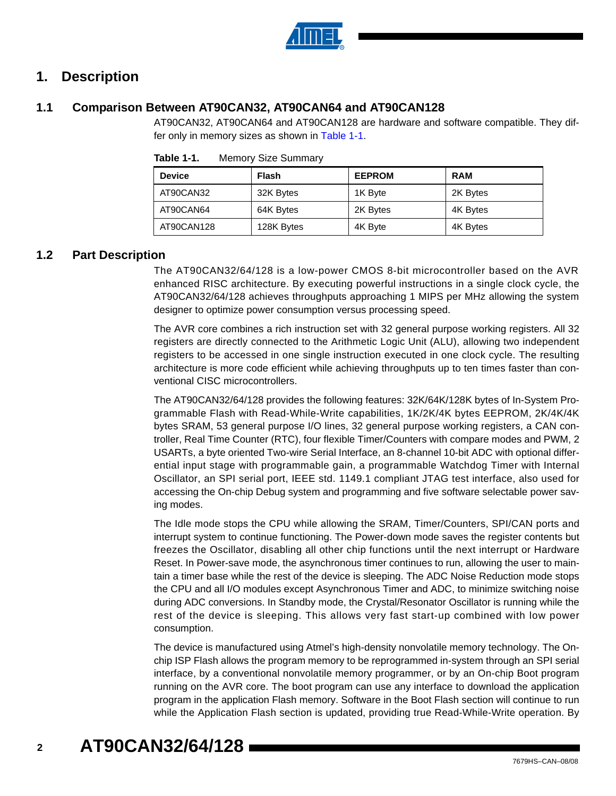

### **1. Description**

### **1.1 Comparison Between AT90CAN32, AT90CAN64 and AT90CAN128**

AT90CAN32, AT90CAN64 and AT90CAN128 are hardware and software compatible. They dif-fer only in memory sizes as shown in [Table 1-1](#page-1-0).

| <b>Device</b> | <b>Flash</b> | <b>EEPROM</b> | <b>RAM</b> |
|---------------|--------------|---------------|------------|
| AT90CAN32     | 32K Bytes    | 1K Byte       | 2K Bytes   |
| AT90CAN64     | 64K Bytes    | 2K Bytes      | 4K Bytes   |
| AT90CAN128    | 128K Bytes   | 4K Byte       | 4K Bytes   |

<span id="page-1-0"></span>

| Table 1-1. | <b>Memory Size Summary</b> |  |
|------------|----------------------------|--|
|------------|----------------------------|--|

### **1.2 Part Description**

The AT90CAN32/64/128 is a low-power CMOS 8-bit microcontroller based on the AVR enhanced RISC architecture. By executing powerful instructions in a single clock cycle, the AT90CAN32/64/128 achieves throughputs approaching 1 MIPS per MHz allowing the system designer to optimize power consumption versus processing speed.

The AVR core combines a rich instruction set with 32 general purpose working registers. All 32 registers are directly connected to the Arithmetic Logic Unit (ALU), allowing two independent registers to be accessed in one single instruction executed in one clock cycle. The resulting architecture is more code efficient while achieving throughputs up to ten times faster than conventional CISC microcontrollers.

The AT90CAN32/64/128 provides the following features: 32K/64K/128K bytes of In-System Programmable Flash with Read-While-Write capabilities, 1K/2K/4K bytes EEPROM, 2K/4K/4K bytes SRAM, 53 general purpose I/O lines, 32 general purpose working registers, a CAN controller, Real Time Counter (RTC), four flexible Timer/Counters with compare modes and PWM, 2 USARTs, a byte oriented Two-wire Serial Interface, an 8-channel 10-bit ADC with optional differential input stage with programmable gain, a programmable Watchdog Timer with Internal Oscillator, an SPI serial port, IEEE std. 1149.1 compliant JTAG test interface, also used for accessing the On-chip Debug system and programming and five software selectable power saving modes.

The Idle mode stops the CPU while allowing the SRAM, Timer/Counters, SPI/CAN ports and interrupt system to continue functioning. The Power-down mode saves the register contents but freezes the Oscillator, disabling all other chip functions until the next interrupt or Hardware Reset. In Power-save mode, the asynchronous timer continues to run, allowing the user to maintain a timer base while the rest of the device is sleeping. The ADC Noise Reduction mode stops the CPU and all I/O modules except Asynchronous Timer and ADC, to minimize switching noise during ADC conversions. In Standby mode, the Crystal/Resonator Oscillator is running while the rest of the device is sleeping. This allows very fast start-up combined with low power consumption.

The device is manufactured using Atmel's high-density nonvolatile memory technology. The Onchip ISP Flash allows the program memory to be reprogrammed in-system through an SPI serial interface, by a conventional nonvolatile memory programmer, or by an On-chip Boot program running on the AVR core. The boot program can use any interface to download the application program in the application Flash memory. Software in the Boot Flash section will continue to run while the Application Flash section is updated, providing true Read-While-Write operation. By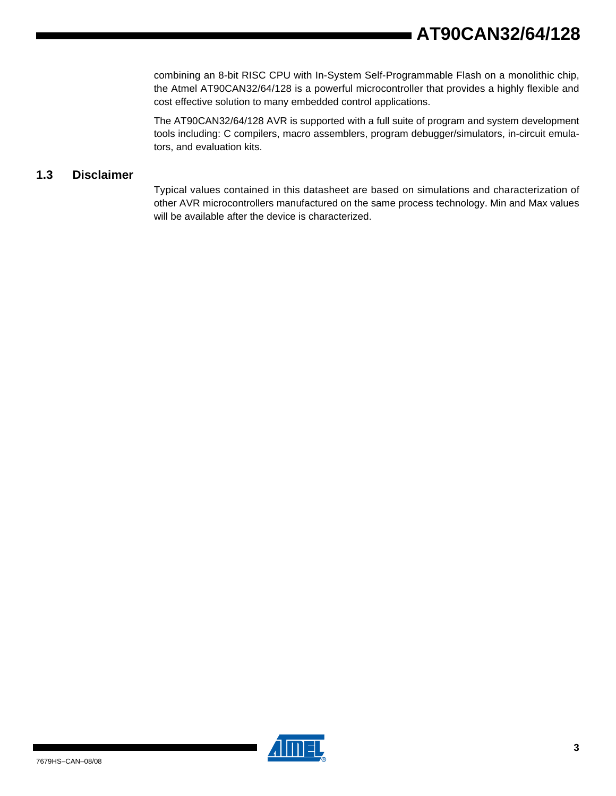combining an 8-bit RISC CPU with In-System Self-Programmable Flash on a monolithic chip, the Atmel AT90CAN32/64/128 is a powerful microcontroller that provides a highly flexible and cost effective solution to many embedded control applications.

The AT90CAN32/64/128 AVR is supported with a full suite of program and system development tools including: C compilers, macro assemblers, program debugger/simulators, in-circuit emulators, and evaluation kits.

### **1.3 Disclaimer**

Typical values contained in this datasheet are based on simulations and characterization of other AVR microcontrollers manufactured on the same process technology. Min and Max values will be available after the device is characterized.

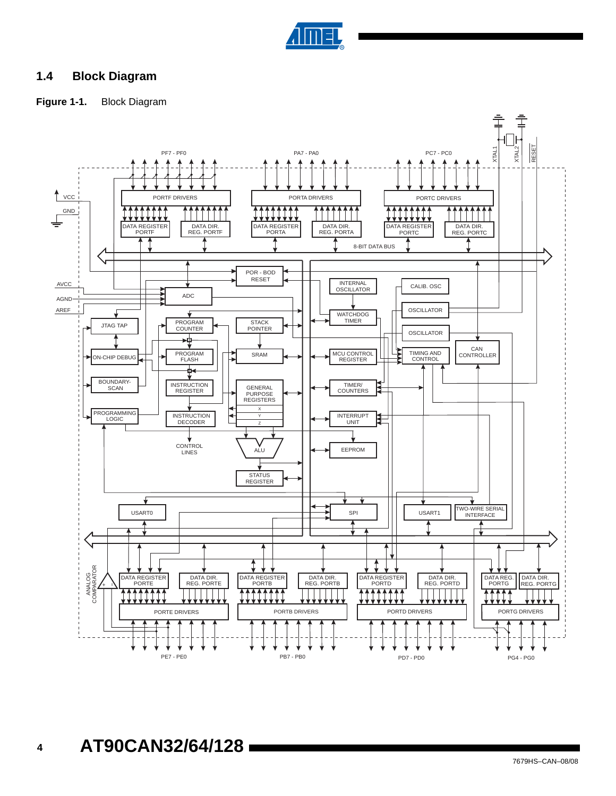

### **1.4 Block Diagram**

### **Figure 1-1.** Block Diagram

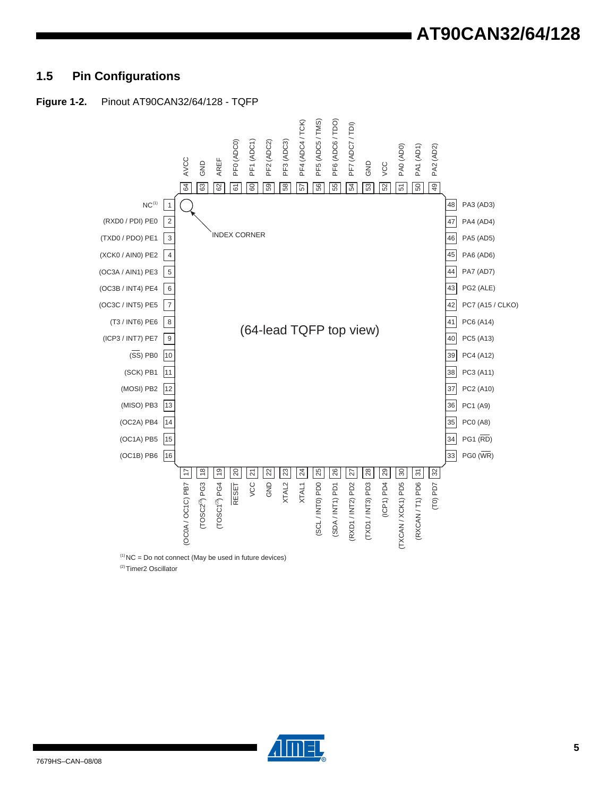## **1.5 Pin Configurations**



 $(2)$ Timer<sub>2</sub> Oscillator

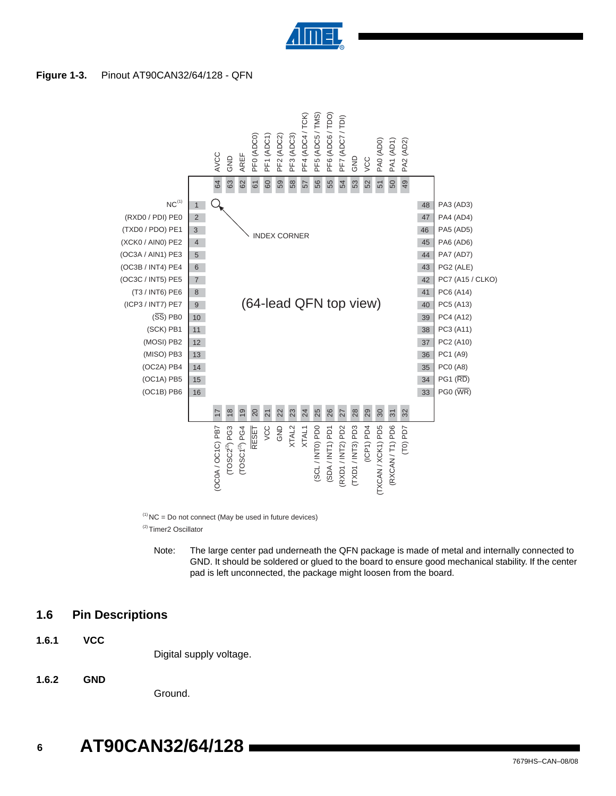

#### **Figure 1-3.** Pinout AT90CAN32/64/128 - QFN



 $(1)$  NC = Do not connect (May be used in future devices) <sup>(2)</sup>Timer2 Oscillator

Note: The large center pad underneath the QFN package is made of metal and internally connected to GND. It should be soldered or glued to the board to ensure good mechanical stability. If the center pad is left unconnected, the package might loosen from the board.

#### **1.6 Pin Descriptions**

**1.6.1 VCC**

Digital supply voltage.

**1.6.2 GND**

Ground.

#### **6 AT90CAN32/64/128**

7679HS–CAN–08/08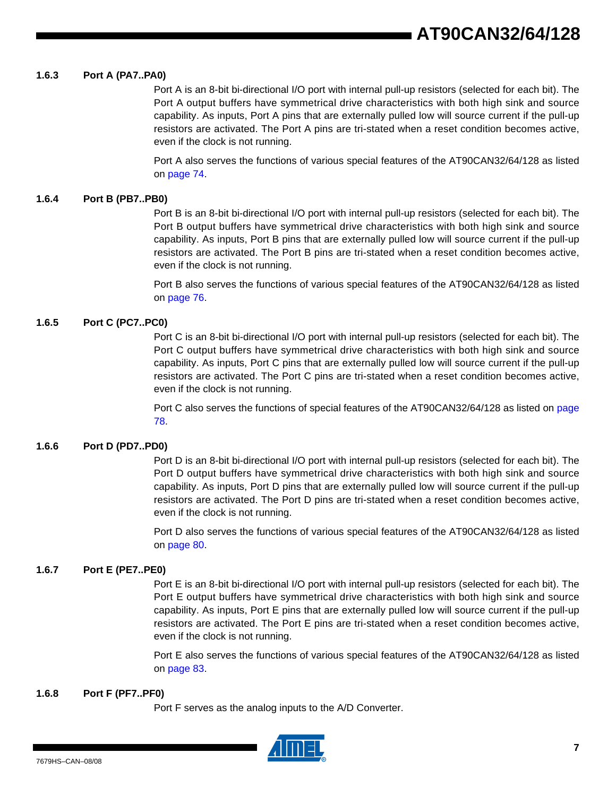#### **1.6.3 Port A (PA7..PA0)**

Port A is an 8-bit bi-directional I/O port with internal pull-up resistors (selected for each bit). The Port A output buffers have symmetrical drive characteristics with both high sink and source capability. As inputs, Port A pins that are externally pulled low will source current if the pull-up resistors are activated. The Port A pins are tri-stated when a reset condition becomes active, even if the clock is not running.

Port A also serves the functions of various special features of the AT90CAN32/64/128 as listed on page 74.

#### **1.6.4 Port B (PB7..PB0)**

Port B is an 8-bit bi-directional I/O port with internal pull-up resistors (selected for each bit). The Port B output buffers have symmetrical drive characteristics with both high sink and source capability. As inputs, Port B pins that are externally pulled low will source current if the pull-up resistors are activated. The Port B pins are tri-stated when a reset condition becomes active, even if the clock is not running.

Port B also serves the functions of various special features of the AT90CAN32/64/128 as listed on page 76.

#### **1.6.5 Port C (PC7..PC0)**

Port C is an 8-bit bi-directional I/O port with internal pull-up resistors (selected for each bit). The Port C output buffers have symmetrical drive characteristics with both high sink and source capability. As inputs, Port C pins that are externally pulled low will source current if the pull-up resistors are activated. The Port C pins are tri-stated when a reset condition becomes active, even if the clock is not running.

Port C also serves the functions of special features of the AT90CAN32/64/128 as listed on page 78.

#### **1.6.6 Port D (PD7..PD0)**

Port D is an 8-bit bi-directional I/O port with internal pull-up resistors (selected for each bit). The Port D output buffers have symmetrical drive characteristics with both high sink and source capability. As inputs, Port D pins that are externally pulled low will source current if the pull-up resistors are activated. The Port D pins are tri-stated when a reset condition becomes active, even if the clock is not running.

Port D also serves the functions of various special features of the AT90CAN32/64/128 as listed on page 80.

#### **1.6.7 Port E (PE7..PE0)**

Port E is an 8-bit bi-directional I/O port with internal pull-up resistors (selected for each bit). The Port E output buffers have symmetrical drive characteristics with both high sink and source capability. As inputs, Port E pins that are externally pulled low will source current if the pull-up resistors are activated. The Port E pins are tri-stated when a reset condition becomes active, even if the clock is not running.

Port E also serves the functions of various special features of the AT90CAN32/64/128 as listed on page 83.

#### **1.6.8 Port F (PF7..PF0)**

Port F serves as the analog inputs to the A/D Converter.

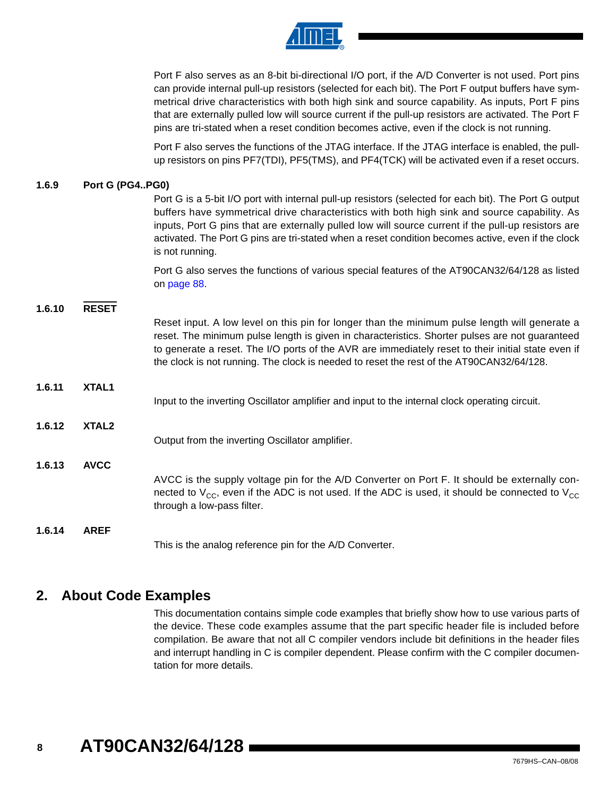

Port F also serves as an 8-bit bi-directional I/O port, if the A/D Converter is not used. Port pins can provide internal pull-up resistors (selected for each bit). The Port F output buffers have symmetrical drive characteristics with both high sink and source capability. As inputs, Port F pins that are externally pulled low will source current if the pull-up resistors are activated. The Port F pins are tri-stated when a reset condition becomes active, even if the clock is not running.

Port F also serves the functions of the JTAG interface. If the JTAG interface is enabled, the pullup resistors on pins PF7(TDI), PF5(TMS), and PF4(TCK) will be activated even if a reset occurs.

#### **1.6.9 Port G (PG4..PG0)**

Port G is a 5-bit I/O port with internal pull-up resistors (selected for each bit). The Port G output buffers have symmetrical drive characteristics with both high sink and source capability. As inputs, Port G pins that are externally pulled low will source current if the pull-up resistors are activated. The Port G pins are tri-stated when a reset condition becomes active, even if the clock is not running.

Port G also serves the functions of various special features of the AT90CAN32/64/128 as listed on page 88.

#### **1.6.10 RESET**

|        |                   | Reset input. A low level on this pin for longer than the minimum pulse length will generate a<br>reset. The minimum pulse length is given in characteristics. Shorter pulses are not guaranteed<br>to generate a reset. The I/O ports of the AVR are immediately reset to their initial state even if<br>the clock is not running. The clock is needed to reset the rest of the AT90CAN32/64/128. |
|--------|-------------------|---------------------------------------------------------------------------------------------------------------------------------------------------------------------------------------------------------------------------------------------------------------------------------------------------------------------------------------------------------------------------------------------------|
| 1.6.11 | XTAL1             |                                                                                                                                                                                                                                                                                                                                                                                                   |
|        |                   | Input to the inverting Oscillator amplifier and input to the internal clock operating circuit.                                                                                                                                                                                                                                                                                                    |
| 1.6.12 | XTAL <sub>2</sub> |                                                                                                                                                                                                                                                                                                                                                                                                   |
|        |                   | Output from the inverting Oscillator amplifier.                                                                                                                                                                                                                                                                                                                                                   |
| 1.6.13 | <b>AVCC</b>       |                                                                                                                                                                                                                                                                                                                                                                                                   |
|        |                   | AVCC is the supply voltage pin for the A/D Converter on Port F. It should be externally con-<br>nected to $V_{CC}$ , even if the ADC is not used. If the ADC is used, it should be connected to $V_{CC}$<br>through a low-pass filter.                                                                                                                                                            |
| 1.6.14 | <b>AREF</b>       |                                                                                                                                                                                                                                                                                                                                                                                                   |
|        |                   |                                                                                                                                                                                                                                                                                                                                                                                                   |

This is the analog reference pin for the A/D Converter.

### **2. About Code Examples**

This documentation contains simple code examples that briefly show how to use various parts of the device. These code examples assume that the part specific header file is included before compilation. Be aware that not all C compiler vendors include bit definitions in the header files and interrupt handling in C is compiler dependent. Please confirm with the C compiler documentation for more details.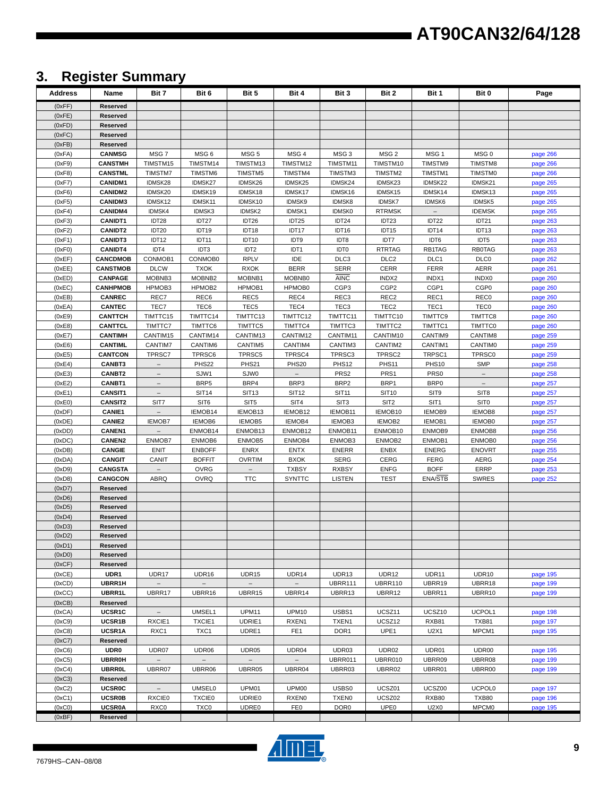# **3. Register Summary**

| Address          | Name                              | Bit 7                    | Bit 6                   | Bit 5                 | Bit 4                 | Bit 3                      | Bit 2                 | Bit 1                  | Bit 0                     | Page                 |
|------------------|-----------------------------------|--------------------------|-------------------------|-----------------------|-----------------------|----------------------------|-----------------------|------------------------|---------------------------|----------------------|
| (0xFF)           | Reserved                          |                          |                         |                       |                       |                            |                       |                        |                           |                      |
| (0xFE)           | Reserved                          |                          |                         |                       |                       |                            |                       |                        |                           |                      |
| (0xFD)           | Reserved                          |                          |                         |                       |                       |                            |                       |                        |                           |                      |
| (0xFC)           | <b>Reserved</b>                   |                          |                         |                       |                       |                            |                       |                        |                           |                      |
| (0xFB)           | Reserved                          |                          |                         |                       |                       |                            |                       |                        |                           |                      |
| (0xFA)           | <b>CANMSG</b>                     | MSG7                     | MSG 6                   | MSG <sub>5</sub>      | MSG 4                 | MSG <sub>3</sub>           | MSG <sub>2</sub>      | MSG <sub>1</sub>       | MSG <sub>0</sub>          | page 266             |
| (0xF9)<br>(0xF8) | <b>CANSTMH</b><br><b>CANSTML</b>  | TIMSTM15<br>TIMSTM7      | TIMSTM14<br>TIMSTM6     | TIMSTM13<br>TIMSTM5   | TIMSTM12<br>TIMSTM4   | TIMSTM11<br>TIMSTM3        | TIMSTM10<br>TIMSTM2   | TIMSTM9<br>TIMSTM1     | TIMSTM8<br><b>TIMSTM0</b> | page 266             |
| (0xF7)           | <b>CANIDM1</b>                    | IDMSK28                  | IDMSK27                 | IDMSK26               | IDMSK25               | IDMSK24                    | IDMSK23               | IDMSK22                | IDMSK21                   | page 266<br>page 265 |
| (0xF6)           | <b>CANIDM2</b>                    | IDMSK20                  | IDMSK19                 | IDMSK18               | IDMSK17               | IDMSK16                    | IDMSK15               | IDMSK14                | IDMSK13                   | page 265             |
| (0xF5)           | <b>CANIDM3</b>                    | IDMSK12                  | IDMSK11                 | IDMSK10               | IDMSK9                | IDMSK8                     | <b>IDMSK7</b>         | IDMSK6                 | IDMSK5                    | page 265             |
| (0xF4)           | <b>CANIDM4</b>                    | IDMSK4                   | IDMSK3                  | IDMSK2                | IDMSK1                | <b>IDMSK0</b>              | <b>RTRMSK</b>         |                        | <b>IDEMSK</b>             | page 265             |
| (0xF3)           | <b>CANIDT1</b>                    | IDT28                    | IDT27                   | IDT26                 | IDT25                 | IDT24                      | IDT23                 | IDT22                  | IDT21                     | page 263             |
| (0xF2)           | <b>CANIDT2</b>                    | IDT20                    | IDT19                   | IDT18                 | IDT17                 | IDT16                      | IDT15                 | IDT14                  | IDT13                     | page 263             |
| (0xF1)           | <b>CANIDT3</b>                    | IDT12                    | IDT11                   | IDT10                 | IDT9                  | IDT8                       | IDT7                  | IDT6                   | IDT5                      | page 263             |
| (0xF0)           | <b>CANIDT4</b>                    | IDT4                     | IDT3                    | IDT <sub>2</sub>      | IDT1                  | <b>IDTO</b>                | <b>RTRTAG</b>         | RB1TAG                 | <b>RB0TAG</b>             | page 263             |
| (0xEF)           | <b>CANCDMOB</b>                   | CONMOB1                  | CONMOB0                 | <b>RPLV</b>           | IDE                   | DLC <sub>3</sub>           | DLC <sub>2</sub>      | DLC1                   | DLC0                      | page 262             |
| (0xEE)<br>(0xED) | <b>CANSTMOB</b><br><b>CANPAGE</b> | <b>DLCW</b><br>MOBNB3    | <b>TXOK</b><br>MOBNB2   | <b>RXOK</b><br>MOBNB1 | <b>BERR</b><br>MOBNB0 | <b>SERR</b><br><b>AINC</b> | <b>CERR</b><br>INDX2  | <b>FERR</b><br>INDX1   | AERR<br>INDX0             | page 261<br>page 260 |
| (0xEC)           | <b>CANHPMOB</b>                   | HPMOB3                   | HPMOB2                  | HPMOB1                | HPMOB0                | CGP <sub>3</sub>           | CGP <sub>2</sub>      | CGP1                   | CGP <sub>0</sub>          | page 260             |
| (0xEB)           | <b>CANREC</b>                     | REC7                     | REC6                    | REC <sub>5</sub>      | REC4                  | REC <sub>3</sub>           | REC <sub>2</sub>      | REC1                   | REC <sub>0</sub>          | page 260             |
| (0xEA)           | <b>CANTEC</b>                     | TEC7                     | TEC6                    | TEC <sub>5</sub>      | TEC4                  | TEC <sub>3</sub>           | TEC <sub>2</sub>      | TEC1                   | <b>TEC0</b>               | page 260             |
| (0xE9)           | <b>CANTTCH</b>                    | TIMTTC15                 | TIMTTC14                | TIMTTC13              | TIMTTC12              | TIMTTC11                   | TIMTTC10              | TIMTTC9                | TIMTTC8                   | page 260             |
| (0xE8)           | CANTTCL                           | TIMTTC7                  | TIMTTC6                 | TIMTTC5               | TIMTTC4               | TIMTTC3                    | TIMTTC2               | TIMTTC1                | <b>TIMTTC0</b>            | page 260             |
| (0xE7)           | <b>CANTIMH</b>                    | CANTIM15                 | CANTIM14                | CANTIM13              | CANTIM12              | CANTIM11                   | CANTIM10              | CANTIM9                | CANTIM8                   | page 259             |
| (0xE6)           | CANTIML                           | CANTIM7                  | CANTIM6                 | CANTIM5<br>TPRSC5     | CANTIM4<br>TPRSC4     | CANTIM3                    | CANTIM2<br>TPRSC2     | CANTIM1                | <b>CANTIMO</b>            | page 259             |
| (0xE5)<br>(0xE4) | <b>CANTCON</b><br><b>CANBT3</b>   | TPRSC7                   | TPRSC6<br>PHS22         | PHS21                 | <b>PHS20</b>          | TPRSC3<br><b>PHS12</b>     | PHS11                 | TRPSC1<br><b>PHS10</b> | TPRSC0<br><b>SMP</b>      | page 259<br>page 258 |
| (0xE3)           | <b>CANBT2</b>                     |                          | SJW1                    | SJW0                  |                       | PRS <sub>2</sub>           | PRS1                  | PRS <sub>0</sub>       | $\overline{\phantom{a}}$  | page 258             |
| (0xE2)           | CANBT1                            | $\overline{\phantom{a}}$ | BRP5                    | BRP4                  | BRP3                  | BRP <sub>2</sub>           | BRP1                  | BRP <sub>0</sub>       | $\overline{\phantom{a}}$  | page 257             |
| (0xE1)           | <b>CANSIT1</b>                    | $\overline{\phantom{a}}$ | <b>SIT14</b>            | <b>SIT13</b>          | <b>SIT12</b>          | <b>SIT11</b>               | <b>SIT10</b>          | SIT9                   | SIT <sub>8</sub>          | page 257             |
| (0xE0)           | <b>CANSIT2</b>                    | SIT7                     | SIT <sub>6</sub>        | SIT <sub>5</sub>      | SIT4                  | SIT <sub>3</sub>           | SIT <sub>2</sub>      | SIT <sub>1</sub>       | <b>SITO</b>               | page 257             |
| (0xDF)           | <b>CANIE1</b>                     |                          | IEMOB14                 | IEMOB13               | IEMOB12               | IEMOB11                    | IEMOB10               | IEMOB9                 | IEMOB8                    | page 257             |
| (0xDE)           | <b>CANIE2</b>                     | <b>IEMOB7</b>            | IEMOB6                  | IEMOB5                | IEMOB4                | IEMOB3                     | IEMOB2                | IEMOB1                 | IEMOB0                    | page 257             |
| (0xDD)           | <b>CANEN1</b>                     |                          | ENMOB14                 | ENMOB13               | ENMOB12               | ENMOB11                    | ENMOB10               | ENMOB9                 | ENMOB8                    | page 256             |
| (0xDC)<br>(0xDB) | <b>CANEN2</b><br>CANGIE           | ENMOB7<br>ENIT           | ENMOB6<br><b>ENBOFF</b> | ENMOB5<br><b>ENRX</b> | ENMOB4<br><b>ENTX</b> | ENMOB3<br><b>ENERR</b>     | ENMOB2<br><b>ENBX</b> | ENMOB1<br><b>ENERG</b> | ENMOB0<br><b>ENOVRT</b>   | page 256<br>page 255 |
| (0xDA)           | <b>CANGIT</b>                     | CANIT                    | <b>BOFFIT</b>           | <b>OVRTIM</b>         | <b>BXOK</b>           | <b>SERG</b>                | CERG                  | <b>FERG</b>            | AERG                      | page 254             |
| (0xD9)           | <b>CANGSTA</b>                    |                          | <b>OVRG</b>             |                       | <b>TXBSY</b>          | <b>RXBSY</b>               | <b>ENFG</b>           | <b>BOFF</b>            | <b>ERRP</b>               | page 253             |
| (0xD8)           | <b>CANGCON</b>                    | <b>ABRQ</b>              | <b>OVRQ</b>             | <b>TTC</b>            | <b>SYNTTC</b>         | <b>LISTEN</b>              | <b>TEST</b>           | <b>ENA/STB</b>         | <b>SWRES</b>              | page 252             |
| (0xD7)           | Reserved                          |                          |                         |                       |                       |                            |                       |                        |                           |                      |
| (0xD6)           | Reserved                          |                          |                         |                       |                       |                            |                       |                        |                           |                      |
| (0xD5)           | Reserved                          |                          |                         |                       |                       |                            |                       |                        |                           |                      |
| (0xD4)           | Reserved<br>Reserved              |                          |                         |                       |                       |                            |                       |                        |                           |                      |
| (0xD3)<br>(0xD2) | Reserved                          |                          |                         |                       |                       |                            |                       |                        |                           |                      |
| (0xD1)           | Reserved                          |                          |                         |                       |                       |                            |                       |                        |                           |                      |
| (0xD0)           | Reserved                          |                          |                         |                       |                       |                            |                       |                        |                           |                      |
| (0xCF)           | Reserved                          |                          |                         |                       |                       |                            |                       |                        |                           |                      |
| (0xCE)           | UDR1                              | UDR17                    | UDR <sub>16</sub>       | <b>UDR15</b>          | UDR <sub>14</sub>     | UDR13                      | UDR12                 | UDR11                  | UDR <sub>10</sub>         | page 195             |
| (0xCD)           | UBRR1H                            |                          | $\bar{ }$               |                       |                       | <b>UBRR111</b>             | <b>UBRR110</b>        | UBRR19                 | UBRR18                    | page 199             |
| (0xCC)           | UBRR1L                            | UBRR17                   | UBRR16                  | UBRR15                | UBRR14                | UBRR13                     | UBRR12                | UBRR11                 | UBRR10                    | page 199             |
| (0xCB)<br>(0xCA) | Reserved<br>UCSR1C                |                          | UMSEL1                  | <b>UPM11</b>          | <b>UPM10</b>          | USBS1                      | UCSZ11                | UCSZ10                 | UCPOL1                    | page 198             |
| (0xC9)           | UCSR1B                            | RXCIE1                   | TXCIE1                  | UDRIE1                | RXEN1                 | TXEN1                      | UCSZ12                | RXB81                  | TXB81                     | page 197             |
| (0xC8)           | UCSR1A                            | RXC1                     | TXC1                    | UDRE1                 | FE <sub>1</sub>       | DOR <sub>1</sub>           | UPE1                  | U2X1                   | MPCM1                     | page 195             |
| (0xC7)           | Reserved                          |                          |                         |                       |                       |                            |                       |                        |                           |                      |
| (0xC6)           | <b>UDR0</b>                       | UDR07                    | UDR06                   | UDR05                 | UDR04                 | UDR03                      | UDR02                 | UDR01                  | UDR00                     | page 195             |
| (0xC5)           | <b>UBRR0H</b>                     |                          |                         |                       |                       | UBRR011                    | UBRR010               | UBRR09                 | UBRR08                    | page 199             |
| (0xC4)           | <b>UBRR0L</b>                     | UBRR07                   | UBRR06                  | UBRR05                | UBRR04                | UBRR03                     | UBRR02                | UBRR01                 | UBRR00                    | page 199             |
| (0xC3)<br>(0xC2) | Reserved<br><b>UCSR0C</b>         |                          | <b>UMSEL0</b>           | UPM01                 | UPM00                 | USBS0                      | UCSZ01                | UCSZ00                 | UCPOL <sub>0</sub>        |                      |
| (0xC1)           | <b>UCSR0B</b>                     | <b>RXCIE0</b>            | <b>TXCIE0</b>           | <b>UDRIE0</b>         | RXEN <sub>0</sub>     | <b>TXEN0</b>               | UCSZ02                | <b>RXB80</b>           | <b>TXB80</b>              | page 197<br>page 196 |
| (0xC0)           | <b>UCSR0A</b>                     | RXC <sub>0</sub>         | <b>TXC0</b>             | <b>UDRE0</b>          | FE0                   | DOR <sub>0</sub>           | UPE <sub>0</sub>      | U2X0                   | <b>MPCM0</b>              | page 195             |
| (0xBF)           | Reserved                          |                          |                         |                       |                       |                            |                       |                        |                           |                      |

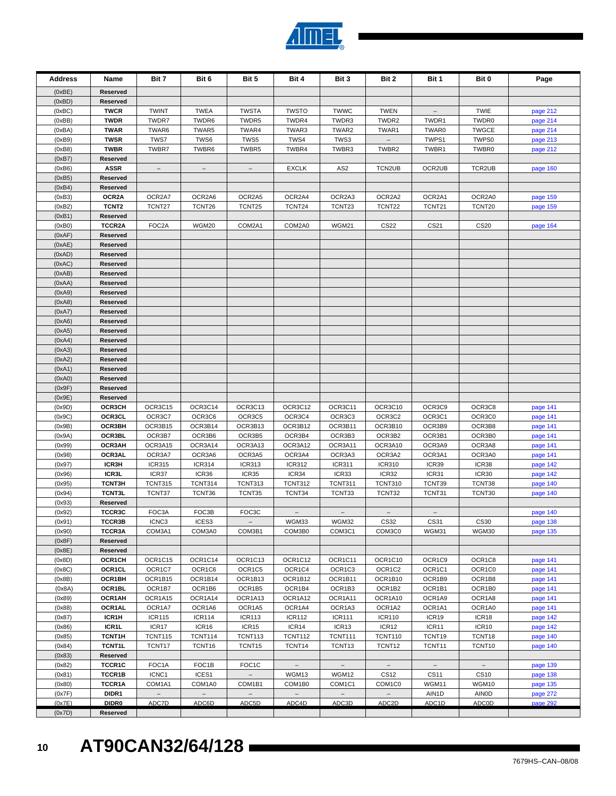| <b>Address</b>   | Name                          | Bit 7                    | Bit 6                    | Bit 5                    | Bit 4                    | Bit 3                           | Bit 2                              | Bit 1                    | Bit 0                      | Page                 |
|------------------|-------------------------------|--------------------------|--------------------------|--------------------------|--------------------------|---------------------------------|------------------------------------|--------------------------|----------------------------|----------------------|
| (0xBE)           | Reserved                      |                          |                          |                          |                          |                                 |                                    |                          |                            |                      |
| (0xBD)           | Reserved                      |                          |                          |                          |                          |                                 |                                    |                          |                            |                      |
| (0xBC)           | <b>TWCR</b>                   | <b>TWINT</b>             | <b>TWEA</b>              | <b>TWSTA</b>             | <b>TWSTO</b>             | <b>TWWC</b>                     | <b>TWEN</b>                        | $\overline{\phantom{a}}$ | <b>TWIE</b>                | page 212             |
| (0xBB)           | <b>TWDR</b>                   | TWDR7                    | TWDR6                    | TWDR5                    | TWDR4                    | TWDR3                           | TWDR2                              | TWDR1                    | TWDR0                      | page 214             |
| (0xBA)           | <b>TWAR</b>                   | TWAR6                    | TWAR5                    | TWAR4                    | TWAR3                    | TWAR2                           | TWAR1                              | TWAR0                    | <b>TWGCE</b>               | page 214             |
| (0xB9)<br>(0xB8) | <b>TWSR</b><br><b>TWBR</b>    | TWS7<br>TWBR7            | TWS6<br>TWBR6            | TWS5<br>TWBR5            | TWS4<br>TWBR4            | TWS3<br>TWBR3                   | TWBR2                              | TWPS1<br>TWBR1           | TWPS0<br>TWBR0             | page 213             |
| (0xB7)           | Reserved                      |                          |                          |                          |                          |                                 |                                    |                          |                            | page 212             |
| (0xB6)           | <b>ASSR</b>                   | $\overline{\phantom{m}}$ | $\overline{\phantom{a}}$ | $\overline{\phantom{m}}$ | <b>EXCLK</b>             | AS <sub>2</sub>                 | TCN2UB                             | OCR2UB                   | TCR2UB                     | page 160             |
| (0xB5)           | Reserved                      |                          |                          |                          |                          |                                 |                                    |                          |                            |                      |
| (0xB4)           | Reserved                      |                          |                          |                          |                          |                                 |                                    |                          |                            |                      |
| (0xB3)           | OCR <sub>2</sub> A            | OCR2A7                   | OCR2A6                   | OCR2A5                   | OCR2A4                   | OCR2A3                          | OCR2A2                             | OCR2A1                   | OCR2A0                     | page 159             |
| (0xB2)           | TCNT <sub>2</sub>             | TCNT27                   | TCNT26                   | TCNT25                   | TCNT24                   | TCNT23                          | TCNT22                             | TCNT21                   | TCNT20                     | page 159             |
| (0xB1)           | Reserved                      |                          |                          |                          |                          |                                 |                                    |                          |                            |                      |
| (0xB0)           | TCCR2A                        | FOC2A                    | WGM20                    | COM2A1                   | COM2A0                   | WGM21                           | <b>CS22</b>                        | CS21                     | <b>CS20</b>                | page 164             |
| (0xAF)           | Reserved                      |                          |                          |                          |                          |                                 |                                    |                          |                            |                      |
| (0xAE)<br>(0xAD) | Reserved<br>Reserved          |                          |                          |                          |                          |                                 |                                    |                          |                            |                      |
| (0xAC)           | Reserved                      |                          |                          |                          |                          |                                 |                                    |                          |                            |                      |
| (0xAB)           | Reserved                      |                          |                          |                          |                          |                                 |                                    |                          |                            |                      |
| (0xAA)           | Reserved                      |                          |                          |                          |                          |                                 |                                    |                          |                            |                      |
| (0xA9)           | Reserved                      |                          |                          |                          |                          |                                 |                                    |                          |                            |                      |
| (0xA8)           | Reserved                      |                          |                          |                          |                          |                                 |                                    |                          |                            |                      |
| (0xA7)           | Reserved                      |                          |                          |                          |                          |                                 |                                    |                          |                            |                      |
| (0xA6)           | Reserved                      |                          |                          |                          |                          |                                 |                                    |                          |                            |                      |
| (0xA5)           | Reserved                      |                          |                          |                          |                          |                                 |                                    |                          |                            |                      |
| (0xA4)<br>(0xA3) | Reserved<br>Reserved          |                          |                          |                          |                          |                                 |                                    |                          |                            |                      |
| (0xA2)           | Reserved                      |                          |                          |                          |                          |                                 |                                    |                          |                            |                      |
| (0xA1)           | Reserved                      |                          |                          |                          |                          |                                 |                                    |                          |                            |                      |
| (0xA0)           | Reserved                      |                          |                          |                          |                          |                                 |                                    |                          |                            |                      |
| (0x9F)           | Reserved                      |                          |                          |                          |                          |                                 |                                    |                          |                            |                      |
| (0x9E)           | Reserved                      |                          |                          |                          |                          |                                 |                                    |                          |                            |                      |
| (0x9D)           | OCR3CH                        | OCR3C15                  | OCR3C14                  | OCR3C13                  | OCR3C12                  | OCR3C11                         | OCR3C10                            | OCR3C9                   | OCR3C8                     | page 141             |
| (0x9C)           | OCR3CL                        | OCR3C7                   | OCR3C6                   | OCR3C5                   | OCR3C4                   | OCR3C3                          | OCR3C2                             | OCR3C1                   | OCR3C0                     | page 141             |
| (0x9B)           | OCR3BH                        | OCR3B15                  | OCR3B14                  | OCR3B13                  | OCR3B12                  | OCR3B11                         | OCR3B10<br>OCR3B2                  | OCR3B9                   | OCR3B8                     | page 141             |
| (0x9A)<br>(0x99) | OCR3BL<br>OCR3AH              | OCR3B7<br>OCR3A15        | OCR3B6<br>OCR3A14        | OCR3B5<br>OCR3A13        | OCR3B4<br>OCR3A12        | OCR3B3<br>OCR3A11               | OCR3A10                            | OCR3B1<br>OCR3A9         | OCR3B0<br>OCR3A8           | page 141<br>page 141 |
| (0x98)           | OCR3AL                        | OCR3A7                   | OCR3A6                   | OCR3A5                   | OCR3A4                   | OCR3A3                          | OCR3A2                             | OCR3A1                   | OCR3A0                     | page 141             |
| (0x97)           | ICR3H                         | <b>ICR315</b>            | <b>ICR314</b>            | <b>ICR313</b>            | <b>ICR312</b>            | <b>ICR311</b>                   | <b>ICR310</b>                      | ICR39                    | ICR38                      | page 142             |
| (0x96)           | ICR3L                         | ICR37                    | ICR36                    | ICR35                    | ICR34                    | ICR33                           | ICR32                              | ICR31                    | ICR30                      | page 142             |
| (0x95)           | <b>TCNT3H</b>                 | <b>TCNT315</b>           | <b>TCNT314</b>           | <b>TCNT313</b>           | <b>TCNT312</b>           | <b>TCNT311</b>                  | <b>TCNT310</b>                     | TCNT39                   | TCNT38                     | page 140             |
| (0x94)           | <b>TCNT3L</b>                 | TCNT37                   | TCNT36                   | TCNT35                   | TCNT34                   | TCNT33                          | TCNT32                             | TCNT31                   | TCNT30                     | page 140             |
| (0x93)           | Reserved                      |                          |                          |                          |                          |                                 |                                    |                          |                            |                      |
| (0x92)           | TCCR3C<br>TCCR3B              | FOC3A<br>ICNC3           | FOC3B                    | FOC3C                    |                          |                                 |                                    |                          |                            | page 140             |
| (0x91)           | TCCR3A                        | COM3A1                   | ICES3<br>COM3A0          |                          | WGM33<br>COM3B0          | WGM32<br>COM3C1                 | CS32<br>COM3C0                     | CS31<br>WGM31            | CS30                       | page 138             |
| (0x90)<br>(0x8F) | Reserved                      |                          |                          | COM3B1                   |                          |                                 |                                    |                          | WGM30                      | page 135             |
| (0x8E)           | Reserved                      |                          |                          |                          |                          |                                 |                                    |                          |                            |                      |
| (0x8D)           | OCR1CH                        | OCR1C15                  | OCR1C14                  | OCR1C13                  | OCR1C12                  | OCR1C11                         | OCR1C10                            | OCR1C9                   | OCR1C8                     | page 141             |
| (0x8C)           | OCR1CL                        | OCR1C7                   | OCR1C6                   | OCR1C5                   | OCR1C4                   | OCR1C3                          | OCR1C2                             | OCR1C1                   | OCR1C0                     | page 141             |
| (0x8B)           | OCR1BH                        | OCR1B15                  | OCR1B14                  | OCR1B13                  | OCR1B12                  | OCR1B11                         | OCR1B10                            | OCR1B9                   | OCR1B8                     | page 141             |
| (0x8A)           | OCR1BL                        | OCR1B7                   | OCR1B6                   | OCR1B5                   | OCR1B4                   | OCR1B3                          | OCR1B2                             | OCR1B1                   | OCR1B0                     | page 141             |
| (0x89)           | OCR1AH                        | OCR1A15                  | OCR1A14                  | OCR1A13                  | OCR1A12                  | OCR1A11                         | OCR1A10                            | OCR1A9                   | OCR1A8                     | page 141             |
| (0x88)           | OCR1AL                        | OCR1A7                   | OCR1A6                   | OCR1A5                   | OCR1A4                   | OCR1A3                          | OCR1A2                             | OCR1A1                   | OCR1A0                     | page 141             |
| (0x87)<br>(0x86) | ICR1H<br>ICR1L                | <b>ICR115</b><br>ICR17   | <b>ICR114</b><br>ICR16   | <b>ICR113</b><br>ICR15   | <b>ICR112</b><br>ICR14   | <b>ICR111</b><br>ICR13          | <b>ICR110</b><br>ICR <sub>12</sub> | ICR19<br>ICR11           | ICR18<br>ICR <sub>10</sub> | page 142<br>page 142 |
| (0x85)           | TCNT1H                        | <b>TCNT115</b>           | <b>TCNT114</b>           | <b>TCNT113</b>           | <b>TCNT112</b>           | <b>TCNT111</b>                  | <b>TCNT110</b>                     | TCNT19                   | TCNT18                     | page 140             |
| (0x84)           | <b>TCNT1L</b>                 | TCNT17                   | TCNT <sub>16</sub>       | TCNT15                   | TCNT14                   | TCNT13                          | TCNT <sub>12</sub>                 | TCNT11                   | TCNT10                     | page 140             |
| (0x83)           | Reserved                      |                          |                          |                          |                          |                                 |                                    |                          |                            |                      |
| (0x82)           | TCCR1C                        | FOC <sub>1</sub> A       | FOC1B                    | FOC <sub>1</sub> C       | $\overline{\phantom{a}}$ | $\overline{\phantom{a}}$        | $\overline{\phantom{a}}$           | $\overline{\phantom{a}}$ | $-$                        | page 139             |
| (0x81)           | TCCR1B                        | ICNC1                    | ICES1                    | $\overline{\phantom{m}}$ | WGM13                    | WGM12                           | <b>CS12</b>                        | <b>CS11</b>              | <b>CS10</b>                | page 138             |
| (0x80)           | TCCR1A                        | COM1A1                   | COM1A0                   | COM1B1                   | COM1B0                   | COM <sub>1</sub> C <sub>1</sub> | COM <sub>1</sub> C <sub>0</sub>    | WGM11                    | WGM10                      | page 135             |
| (0x7F)           | DIDR1                         | $\overline{\phantom{a}}$ | $\overline{\phantom{a}}$ | $\qquad \qquad -$        | $-$                      | $-$                             | $-$                                | AIN1D                    | <b>AINOD</b>               | page 272             |
| (0x7E)<br>(0x7D) | DIDR <sub>0</sub><br>Reserved | ADC7D                    | ADC6D                    | ADC5D                    | ADC4D                    | ADC3D                           | ADC <sub>2</sub> D                 | ADC <sub>1</sub> D       | <b>ADC0D</b>               | page 292             |

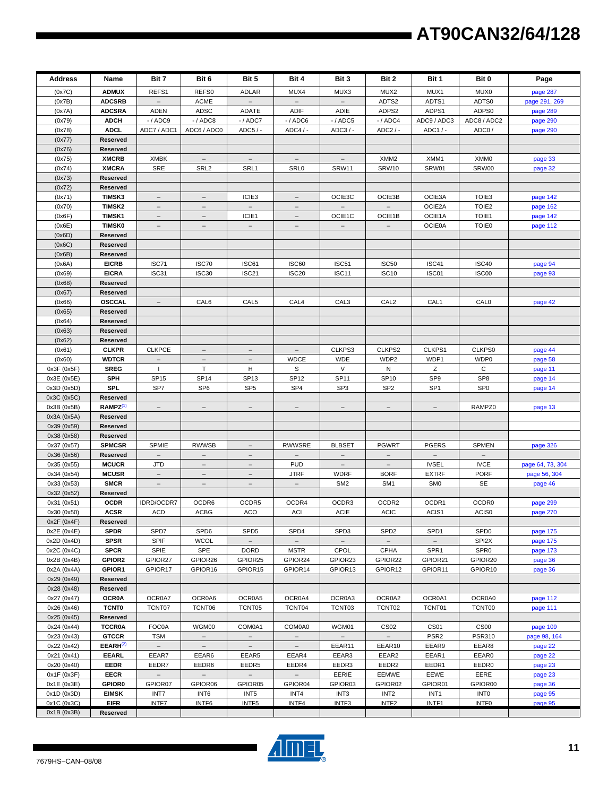| Address                    | Name                                 | Bit 7                             | Bit 6                                        | Bit 5                             | Bit 4                             | Bit 3                             | Bit 2                     | Bit 1                    | Bit 0                                 | Page                 |
|----------------------------|--------------------------------------|-----------------------------------|----------------------------------------------|-----------------------------------|-----------------------------------|-----------------------------------|---------------------------|--------------------------|---------------------------------------|----------------------|
| (0x7C)                     | <b>ADMUX</b>                         | REFS1                             | REFS0                                        | <b>ADLAR</b>                      | MUX4                              | MUX3                              | MUX2                      | MUX1                     | MUX0                                  | page 287             |
| (0x7B)                     | <b>ADCSRB</b>                        |                                   | <b>ACME</b>                                  |                                   |                                   |                                   | ADTS2                     | ADTS1                    | ADTS0                                 | page 291, 269        |
| (0x7A)                     | <b>ADCSRA</b>                        | <b>ADEN</b>                       | ADSC                                         | <b>ADATE</b>                      | <b>ADIF</b>                       | ADIE                              | ADPS2                     | ADPS1                    | ADPS0                                 | page 289             |
| (0x79)                     | <b>ADCH</b>                          | $-$ / ADC9                        | $-/$ ADC8                                    | $-$ / ADC7                        | $-$ / ADC6                        | $-$ / ADC5                        | $-/$ ADC4                 | ADC9 / ADC3              | ADC8 / ADC2                           | page 290             |
| (0x78)                     | <b>ADCL</b>                          | ADC7 / ADC1                       | ADC6 / ADC0                                  | ADC5 / -                          | $ADC4/ -$                         | ADC3/-                            | $ADC2/-$                  | ADC1 / -                 | ADC0/                                 | page 290             |
| (0x77)                     | Reserved                             |                                   |                                              |                                   |                                   |                                   |                           |                          |                                       |                      |
| (0x76)                     | Reserved                             |                                   |                                              |                                   |                                   |                                   |                           |                          |                                       |                      |
| (0x75)                     | <b>XMCRB</b><br><b>XMCRA</b>         | <b>XMBK</b><br><b>SRE</b>         | $\overline{\phantom{a}}$<br>SRL <sub>2</sub> | $\overline{\phantom{a}}$<br>SRL1  | $\overline{\phantom{a}}$<br>SRL0  | $\overline{\phantom{a}}$<br>SRW11 | XMM <sub>2</sub><br>SRW10 | XMM1<br>SRW01            | XMM0<br>SRW00                         | page 33              |
| (0x74)<br>(0x73)           | Reserved                             |                                   |                                              |                                   |                                   |                                   |                           |                          |                                       | page 32              |
| (0x72)                     | Reserved                             |                                   |                                              |                                   |                                   |                                   |                           |                          |                                       |                      |
| (0x71)                     | <b>TIMSK3</b>                        | $\equiv$                          | $\equiv$                                     | ICIE <sub>3</sub>                 |                                   | OCIE3C                            | OCIE3B                    | OCIE3A                   | TOIE <sub>3</sub>                     | page 142             |
| (0x70)                     | <b>TIMSK2</b>                        | $\overline{\phantom{m}}$          | $\overline{\phantom{a}}$                     | $\overline{\phantom{a}}$          | $\overline{\phantom{a}}$          |                                   |                           | OCIE2A                   | TOIE <sub>2</sub>                     | page 162             |
| (0x6F)                     | <b>TIMSK1</b>                        |                                   |                                              | ICIE1                             |                                   | OCIE1C                            | OCIE1B                    | OCIE1A                   | TOIE1                                 | page 142             |
| (0x6E)                     | <b>TIMSK0</b>                        | $\overline{\phantom{a}}$          | $\overline{\phantom{a}}$                     | $\overline{\phantom{a}}$          | $\overline{\phantom{m}}$          | $\overline{\phantom{a}}$          | $\equiv$                  | <b>OCIE0A</b>            | TOIE0                                 | page 112             |
| (0x6D)                     | Reserved                             |                                   |                                              |                                   |                                   |                                   |                           |                          |                                       |                      |
| (0x6C)                     | Reserved                             |                                   |                                              |                                   |                                   |                                   |                           |                          |                                       |                      |
| (0x6B)                     | Reserved                             |                                   |                                              |                                   |                                   |                                   |                           |                          |                                       |                      |
| (0x6A)                     | <b>EICRB</b>                         | ISC71                             | ISC70                                        | ISC61                             | ISC60                             | ISC <sub>51</sub>                 | <b>ISC50</b>              | ISC41                    | ISC40                                 | page 94              |
| (0x69)                     | <b>EICRA</b>                         | ISC31                             | ISC30                                        | ISC <sub>21</sub>                 | <b>ISC20</b>                      | ISC <sub>11</sub>                 | <b>ISC10</b>              | ISC01                    | ISC00                                 | page 93              |
| (0x68)                     | Reserved<br>Reserved                 |                                   |                                              |                                   |                                   |                                   |                           |                          |                                       |                      |
| (0x67)<br>(0x66)           | <b>OSCCAL</b>                        | $\overline{\phantom{m}}$          | CAL6                                         | CAL <sub>5</sub>                  | CAL4                              | CAL <sub>3</sub>                  | CAL <sub>2</sub>          | CAL <sub>1</sub>         | CALO                                  | page 42              |
| (0x65)                     | Reserved                             |                                   |                                              |                                   |                                   |                                   |                           |                          |                                       |                      |
| (0x64)                     | Reserved                             |                                   |                                              |                                   |                                   |                                   |                           |                          |                                       |                      |
| (0x63)                     | Reserved                             |                                   |                                              |                                   |                                   |                                   |                           |                          |                                       |                      |
| (0x62)                     | Reserved                             |                                   |                                              |                                   |                                   |                                   |                           |                          |                                       |                      |
| (0x61)                     | <b>CLKPR</b>                         | <b>CLKPCE</b>                     | $\overline{\phantom{m}}$                     | $\overline{\phantom{m}}$          | $\overline{\phantom{m}}$          | CLKPS3                            | CLKPS2                    | CLKPS1                   | CLKPS0                                | page 44              |
| (0x60)                     | <b>WDTCR</b>                         | $\equiv$                          | $\equiv$                                     | $\equiv$                          | <b>WDCE</b>                       | <b>WDE</b>                        | WDP2                      | WDP1                     | WDP0                                  | page 58              |
| 0x3F (0x5F)                | <b>SREG</b>                          | $\mathbf{I}$                      | T                                            | н                                 | S                                 | V                                 | N                         | Ζ                        | C                                     | page 11              |
| 0x3E (0x5E)                | <b>SPH</b>                           | <b>SP15</b>                       | <b>SP14</b>                                  | SP <sub>13</sub>                  | <b>SP12</b>                       | <b>SP11</b>                       | <b>SP10</b>               | SP <sub>9</sub>          | SP <sub>8</sub>                       | page 14              |
| 0x3D (0x5D)                | SPL                                  | SP7                               | SP <sub>6</sub>                              | SP <sub>5</sub>                   | SP <sub>4</sub>                   | SP <sub>3</sub>                   | SP <sub>2</sub>           | SP <sub>1</sub>          | SP <sub>0</sub>                       | page 14              |
| 0x3C (0x5C)                | Reserved                             |                                   |                                              |                                   |                                   |                                   |                           |                          |                                       |                      |
| 0x3B (0x5B)                | $RAMPZ^{(1)}$                        | $\overline{\phantom{m}}$          | $\overline{\phantom{0}}$                     | $\overline{\phantom{a}}$          | $-$                               | $-$                               | $\overline{\phantom{m}}$  | $\overline{\phantom{m}}$ | RAMPZ0                                | page 13              |
| 0x3A (0x5A)<br>0x39 (0x59) | Reserved<br>Reserved                 |                                   |                                              |                                   |                                   |                                   |                           |                          |                                       |                      |
| 0x38 (0x58)                | Reserved                             |                                   |                                              |                                   |                                   |                                   |                           |                          |                                       |                      |
| 0x37 (0x57)                | <b>SPMCSR</b>                        | <b>SPMIE</b>                      | <b>RWWSB</b>                                 |                                   | <b>RWWSRE</b>                     | <b>BLBSET</b>                     | <b>PGWRT</b>              | <b>PGERS</b>             | SPMEN                                 | page 326             |
| 0x36 (0x56)                | Reserved                             | $\overline{\phantom{a}}$          | $\overline{\phantom{0}}$                     | $\overline{\phantom{m}}$          |                                   | $\overline{\phantom{a}}$          | $\overline{\phantom{a}}$  | $\overline{\phantom{a}}$ | $\overline{\phantom{a}}$              |                      |
| 0x35 (0x55)                | <b>MCUCR</b>                         | JTD                               | $\overline{\phantom{m}}$                     | $\overline{\phantom{m}}$          | <b>PUD</b>                        | $\overline{\phantom{m}}$          | $\overline{\phantom{m}}$  | <b>IVSEL</b>             | <b>IVCE</b>                           | page 64, 73, 304     |
| 0x34 (0x54)                | <b>MCUSR</b>                         | $\equiv$                          | $\equiv$                                     | $\equiv$                          | JTRF                              | WDRF                              | <b>BORF</b>               | <b>EXTRF</b>             | <b>PORF</b>                           | page 56, 304         |
| 0x33 (0x53)                | <b>SMCR</b>                          | $\overline{\phantom{m}}$          | $\overline{\phantom{a}}$                     | $\overline{\phantom{a}}$          | $\overline{\phantom{a}}$          | SM <sub>2</sub>                   | SM <sub>1</sub>           | SM <sub>0</sub>          | SE                                    | page 46              |
| 0x32 (0x52)                | Reserved                             |                                   |                                              |                                   |                                   |                                   |                           |                          |                                       |                      |
| 0x31 (0x51)                | <b>OCDR</b>                          | IDRD/OCDR7                        | OCDR6                                        | OCDR5                             | OCDR4                             | OCDR3                             | OCDR2                     | OCDR1                    | OCDR <sub>0</sub>                     | page 299             |
| 0x30 (0x50)                | <b>ACSR</b>                          | <b>ACD</b>                        | ACBG                                         | ACO                               | ACI                               | <b>ACIE</b>                       | <b>ACIC</b>               | ACIS1                    | ACIS <sub>0</sub>                     | page 270             |
| 0x2F(0x4F)                 | Reserved                             |                                   |                                              |                                   |                                   |                                   |                           |                          |                                       |                      |
| 0x2E (0x4E)<br>0x2D (0x4D) | <b>SPDR</b><br><b>SPSR</b>           | SPD7<br>SPIF                      | SPD6<br><b>WCOL</b>                          | SPD <sub>5</sub>                  | SPD4                              | SPD3                              | SPD <sub>2</sub>          | SPD <sub>1</sub>         | SPD <sub>0</sub><br>SPI <sub>2X</sub> | page 175<br>page 175 |
| 0x2C (0x4C)                | <b>SPCR</b>                          | SPIE                              | <b>SPE</b>                                   | <b>DORD</b>                       | <b>MSTR</b>                       | <b>CPOL</b>                       | <b>CPHA</b>               | SPR <sub>1</sub>         | SPR <sub>0</sub>                      | page 173             |
| 0x2B (0x4B)                | GPIOR2                               | GPIOR27                           | GPIOR26                                      | GPIOR25                           | GPIOR24                           | GPIOR23                           | GPIOR22                   | GPIOR21                  | GPIOR20                               | page 36              |
| 0x2A (0x4A)                | GPIOR1                               | GPIOR17                           | GPIOR16                                      | GPIOR15                           | GPIOR14                           | GPIOR13                           | GPIOR12                   | GPIOR11                  | GPIOR10                               | page 36              |
| 0x29 (0x49)                | Reserved                             |                                   |                                              |                                   |                                   |                                   |                           |                          |                                       |                      |
| 0x28 (0x48)                | Reserved                             |                                   |                                              |                                   |                                   |                                   |                           |                          |                                       |                      |
| 0x27 (0x47)                | <b>OCR0A</b>                         | OCR0A7                            | OCR0A6                                       | OCR0A5                            | OCR0A4                            | OCR0A3                            | OCR0A2                    | OCR0A1                   | OCR0A0                                | page 112             |
| 0x26 (0x46)                | <b>TCNT0</b>                         | TCNT07                            | TCNT06                                       | TCNT05                            | TCNT04                            | TCNT03                            | TCNT02                    | TCNT01                   | TCNT00                                | page 111             |
| 0x25 (0x45)                | Reserved                             |                                   |                                              |                                   |                                   |                                   |                           |                          |                                       |                      |
| 0x24 (0x44)                | <b>TCCR0A</b>                        | FOC0A                             | WGM00                                        | COM0A1                            | COM0A0                            | WGM01                             | <b>CS02</b>               | <b>CS01</b>              | <b>CS00</b>                           | page 109             |
| 0x23 (0x43)                | <b>GTCCR</b>                         | TSM                               | $\overline{\phantom{0}}$                     | $\overline{\phantom{a}}$          | $\overline{\phantom{m}}$          | $\qquad \qquad -$                 | $\overline{\phantom{a}}$  | PSR <sub>2</sub>         | <b>PSR310</b>                         | page 98, 164         |
| 0x22 (0x42)<br>0x21 (0x41) | EEARH <sup>(2)</sup><br><b>EEARL</b> | $\overline{\phantom{0}}$<br>EEAR7 | $\overline{\phantom{a}}$<br>EEAR6            | $\overline{\phantom{a}}$<br>EEAR5 | $\overline{\phantom{a}}$<br>EEAR4 | EEAR11<br>EEAR3                   | EEAR10<br>EEAR2           | EEAR9<br>EEAR1           | EEAR8<br>EEAR0                        | page 22<br>page 22   |
| 0x20 (0x40)                | <b>EEDR</b>                          | EEDR7                             | EEDR6                                        | EEDR5                             | EEDR4                             | EEDR3                             | EEDR2                     | EEDR1                    | EEDR0                                 | page 23              |
| 0x1F (0x3F)                | <b>EECR</b>                          |                                   |                                              | $\overline{\phantom{a}}$          |                                   | EERIE                             | EEMWE                     | EEWE                     | EERE                                  | page 23              |
| 0x1E (0x3E)                | <b>GPIOR0</b>                        | GPIOR07                           | GPIOR06                                      | GPIOR05                           | GPIOR04                           | GPIOR03                           | GPIOR02                   | GPIOR01                  | GPIOR00                               | page 36              |
| 0x1D (0x3D)                | <b>EIMSK</b>                         | INT7                              | INT6                                         | INT <sub>5</sub>                  | INT4                              | INT <sub>3</sub>                  | INT <sub>2</sub>          | INT1                     | INT <sub>0</sub>                      | page 95              |
| 0x1C (0x3C)                | <b>EIFR</b>                          | <b>INTF7</b>                      | INTF6                                        | INTF5                             | INTF4                             | INTF <sub>3</sub>                 | INTF <sub>2</sub>         | INTF1                    | INTF <sub>0</sub>                     | page 95              |
| 0x1B (0x3B)                | Reserved                             |                                   |                                              |                                   |                                   |                                   |                           |                          |                                       |                      |



 $\blacksquare$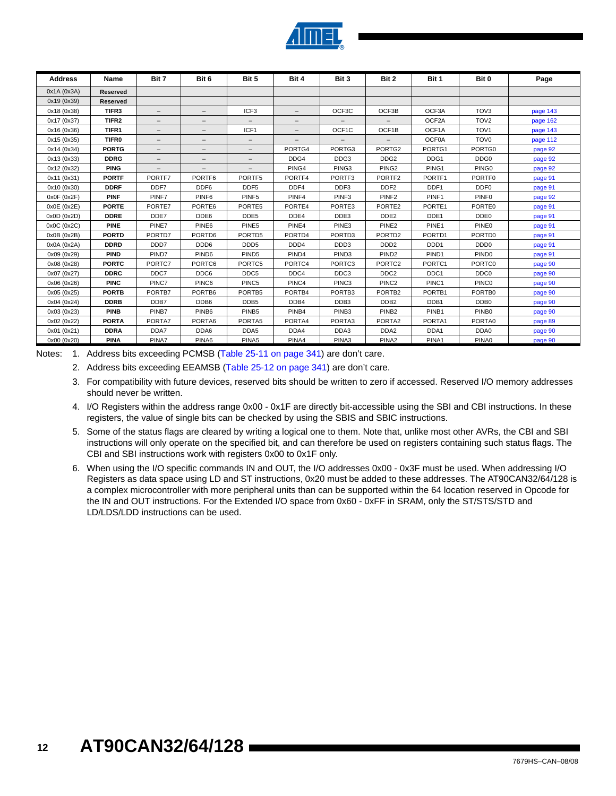

| Address     | Name              | Bit 7  | Bit 6             | Bit 5                    | Bit 4             | Bit 3                    | Bit 2              | Bit 1             | Bit 0             | Page     |
|-------------|-------------------|--------|-------------------|--------------------------|-------------------|--------------------------|--------------------|-------------------|-------------------|----------|
| 0x1A (0x3A) | Reserved          |        |                   |                          |                   |                          |                    |                   |                   |          |
| 0x19 (0x39) | <b>Reserved</b>   |        |                   |                          |                   |                          |                    |                   |                   |          |
| 0x18 (0x38) | TIFR3             | $-$    |                   | ICF <sub>3</sub>         |                   | OCF3C                    | OCF3B              | OCF3A             | TOV <sub>3</sub>  | page 143 |
| 0x17 (0x37) | TIFR <sub>2</sub> | $-$    | $-$               | $\overline{\phantom{m}}$ | $\qquad \qquad -$ | $-$                      |                    | OCF2A             | TOV <sub>2</sub>  | page 162 |
| 0x16 (0x36) | TIFR1             | $-$    | -                 | ICF1                     |                   | OCF1C                    | OCF1B              | OCF1A             | TOV <sub>1</sub>  | page 143 |
| 0x15 (0x35) | <b>TIFR0</b>      | -      | $\qquad \qquad -$ | $\qquad \qquad -$        | $\qquad \qquad -$ | $\overline{\phantom{0}}$ | $-$                | OCF0A             | TOV <sub>0</sub>  | page 112 |
| 0x14 (0x34) | <b>PORTG</b>      | $-$    | -                 | $-$                      | PORTG4            | PORTG3                   | PORTG2             | PORTG1            | PORTG0            | page 92  |
| 0x13 (0x33) | <b>DDRG</b>       | $-$    | -                 | $\qquad \qquad -$        | DDG4              | DDG3                     | DDG <sub>2</sub>   | DDG1              | DDG0              | page 92  |
| 0x12 (0x32) | <b>PING</b>       | $-$    | $-$               | $\qquad \qquad -$        | PING4             | PING3                    | PING <sub>2</sub>  | PING1             | PING <sub>0</sub> | page 92  |
| 0x11 (0x31) | <b>PORTF</b>      | PORTF7 | PORTF6            | PORTF5                   | PORTF4            | PORTF3                   | PORTF2             | PORTF1            | PORTF0            | page 91  |
| 0x10 (0x30) | <b>DDRF</b>       | DDF7   | DDF <sub>6</sub>  | DDF <sub>5</sub>         | DDF4              | DDF3                     | DDF <sub>2</sub>   | DDF1              | DDF <sub>0</sub>  | page 91  |
| 0x0F(0x2F)  | <b>PINF</b>       | PINF7  | PINF <sub>6</sub> | PINF <sub>5</sub>        | PINF4             | PINF <sub>3</sub>        | PINF <sub>2</sub>  | PINF1             | PINF <sub>0</sub> | page 92  |
| 0x0E (0x2E) | <b>PORTE</b>      | PORTE7 | PORTE6            | PORTE5                   | PORTE4            | PORTE3                   | PORTE2             | PORTE1            | PORTE0            | page 91  |
| 0x0D(0x2D)  | <b>DDRE</b>       | DDE7   | DDE6              | DDE5                     | DDE4              | DDE3                     | DDE <sub>2</sub>   | DDE <sub>1</sub>  | DDE0              | page 91  |
| 0x0C (0x2C) | <b>PINE</b>       | PINE7  | PINE6             | PINE5                    | PINE4             | PINE3                    | PINE <sub>2</sub>  | PINE <sub>1</sub> | PINE0             | page 91  |
| 0x0B(0x2B)  | <b>PORTD</b>      | PORTD7 | PORTD6            | PORTD5                   | PORTD4            | PORTD3                   | PORTD <sub>2</sub> | PORTD1            | PORTD0            | page 91  |
| 0x0A (0x2A) | <b>DDRD</b>       | DDD7   | DDD <sub>6</sub>  | DDD <sub>5</sub>         | DDD4              | DDD3                     | DDD <sub>2</sub>   | DDD <sub>1</sub>  | DDD <sub>0</sub>  | page 91  |
| 0x09 (0x29) | <b>PIND</b>       | PIND7  | PIND <sub>6</sub> | PIND <sub>5</sub>        | PIND <sub>4</sub> | PIND <sub>3</sub>        | PIND <sub>2</sub>  | PIND <sub>1</sub> | PIND <sub>0</sub> | page 91  |
| 0x08 (0x28) | <b>PORTC</b>      | PORTC7 | PORTC6            | PORTC5                   | PORTC4            | PORTC3                   | PORTC <sub>2</sub> | PORTC1            | PORTC0            | page 90  |
| 0x07 (0x27) | <b>DDRC</b>       | DDC7   | DDC6              | DDC5                     | DDC4              | DDC <sub>3</sub>         | DDC <sub>2</sub>   | DDC <sub>1</sub>  | DDC0              | page 90  |
| 0x06 (0x26) | <b>PINC</b>       | PINC7  | PINC6             | PINC5                    | PINC4             | PINC <sub>3</sub>        | PINC <sub>2</sub>  | PINC1             | <b>PINCO</b>      | page 90  |
| 0x05 (0x25) | <b>PORTB</b>      | PORTB7 | PORTB6            | PORTB5                   | PORTB4            | PORTB3                   | PORTB <sub>2</sub> | PORTB1            | PORTB0            | page 90  |
| 0x04 (0x24) | <b>DDRB</b>       | DDB7   | DDB6              | DDB <sub>5</sub>         | DDB4              | DDB <sub>3</sub>         | DDB <sub>2</sub>   | DDB1              | DDB <sub>0</sub>  | page 90  |
| 0x03 (0x23) | <b>PINB</b>       | PINB7  | PINB <sub>6</sub> | PINB <sub>5</sub>        | PINB4             | PINB <sub>3</sub>        | PINB <sub>2</sub>  | PINB1             | PINB <sub>0</sub> | page 90  |
| 0x02 (0x22) | <b>PORTA</b>      | PORTA7 | PORTA6            | PORTA5                   | PORTA4            | PORTA3                   | PORTA2             | PORTA1            | PORTA0            | page 89  |
| 0x01 (0x21) | <b>DDRA</b>       | DDA7   | DDA6              | DDA5                     | DDA4              | DDA3                     | DDA <sub>2</sub>   | DDA1              | DDA0              | page 90  |
| 0x00 (0x20) | <b>PINA</b>       | PINA7  | PINA6             | PINA5                    | PINA4             | PINA3                    | PINA <sub>2</sub>  | PINA1             | PINA0             | page 90  |

<span id="page-11-1"></span><span id="page-11-0"></span>Notes: 1. Address bits exceeding PCMSB (Table 25-11 on page 341) are don't care.

2. Address bits exceeding EEAMSB (Table 25-12 on page 341) are don't care.

3. For compatibility with future devices, reserved bits should be written to zero if accessed. Reserved I/O memory addresses should never be written.

- 4. I/O Registers within the address range 0x00 0x1F are directly bit-accessible using the SBI and CBI instructions. In these registers, the value of single bits can be checked by using the SBIS and SBIC instructions.
- 5. Some of the status flags are cleared by writing a logical one to them. Note that, unlike most other AVRs, the CBI and SBI instructions will only operate on the specified bit, and can therefore be used on registers containing such status flags. The CBI and SBI instructions work with registers 0x00 to 0x1F only.
- 6. When using the I/O specific commands IN and OUT, the I/O addresses 0x00 0x3F must be used. When addressing I/O Registers as data space using LD and ST instructions, 0x20 must be added to these addresses. The AT90CAN32/64/128 is a complex microcontroller with more peripheral units than can be supported within the 64 location reserved in Opcode for the IN and OUT instructions. For the Extended I/O space from 0x60 - 0xFF in SRAM, only the ST/STS/STD and LD/LDS/LDD instructions can be used.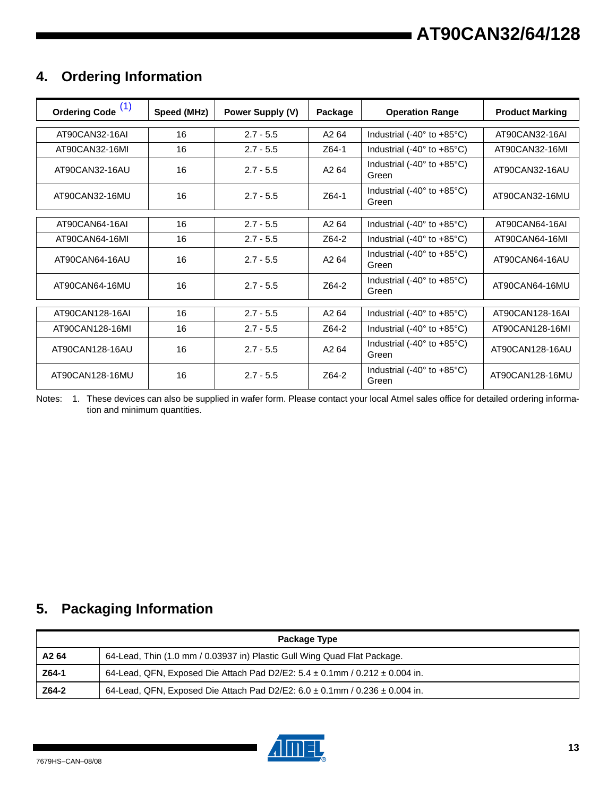# **4. Ordering Information**

| Ordering Code <sup>(1)</sup> | Speed (MHz) | Power Supply (V) | Package           | <b>Operation Range</b>                                 | <b>Product Marking</b> |
|------------------------------|-------------|------------------|-------------------|--------------------------------------------------------|------------------------|
| AT90CAN32-16AI               | 16          | $2.7 - 5.5$      | A <sub>2</sub> 64 | Industrial (-40 $\degree$ to +85 $\degree$ C)          | AT90CAN32-16AI         |
| AT90CAN32-16MI               | 16          | $2.7 - 5.5$      | Z64-1             | Industrial (-40 $^{\circ}$ to +85 $^{\circ}$ C)        | AT90CAN32-16MI         |
| AT90CAN32-16AU               | 16          | $2.7 - 5.5$      | A <sub>2</sub> 64 | Industrial (-40 $\degree$ to +85 $\degree$ C)<br>Green | AT90CAN32-16AU         |
| AT90CAN32-16MU               | 16          | $2.7 - 5.5$      | Z64-1             | Industrial (-40 $\degree$ to +85 $\degree$ C)<br>Green | AT90CAN32-16MU         |
| AT90CAN64-16AI               | 16          | $2.7 - 5.5$      | A <sub>2</sub> 64 | Industrial (-40 $\degree$ to +85 $\degree$ C)          | AT90CAN64-16AI         |
| AT90CAN64-16MI               | 16          | $2.7 - 5.5$      | Z64-2             | Industrial (-40° to +85°C)                             | AT90CAN64-16MI         |
| AT90CAN64-16AU               | 16          | $2.7 - 5.5$      | A <sub>2</sub> 64 | Industrial (-40 $\degree$ to +85 $\degree$ C)<br>Green | AT90CAN64-16AU         |
| AT90CAN64-16MU               | 16          | $2.7 - 5.5$      | Z64-2             | Industrial (-40 $\degree$ to +85 $\degree$ C)<br>Green | AT90CAN64-16MU         |
| AT90CAN128-16AI              | 16          | $2.7 - 5.5$      | A <sub>2</sub> 64 | Industrial (-40 $\degree$ to +85 $\degree$ C)          | AT90CAN128-16AI        |
| AT90CAN128-16MI              | 16          | $2.7 - 5.5$      | Z64-2             | Industrial (-40 $^{\circ}$ to +85 $^{\circ}$ C)        | AT90CAN128-16MI        |
| AT90CAN128-16AU              | 16          | $2.7 - 5.5$      | A <sub>2</sub> 64 | Industrial (-40 $\degree$ to +85 $\degree$ C)<br>Green | AT90CAN128-16AU        |
| AT90CAN128-16MU              | 16          | $2.7 - 5.5$      | Z64-2             | Industrial (-40 $\degree$ to +85 $\degree$ C)<br>Green | AT90CAN128-16MU        |

<span id="page-12-0"></span>Notes: 1. These devices can also be supplied in wafer form. Please contact your local Atmel sales office for detailed ordering information and minimum quantities.

# **5. Packaging Information**

| Package Type |                                                                                      |  |  |  |  |  |  |
|--------------|--------------------------------------------------------------------------------------|--|--|--|--|--|--|
| A2 64        | 64-Lead, Thin (1.0 mm / 0.03937 in) Plastic Gull Wing Quad Flat Package.             |  |  |  |  |  |  |
| Z64-1        | 64-Lead, QFN, Exposed Die Attach Pad D2/E2: $5.4 \pm 0.1$ mm / $0.212 \pm 0.004$ in. |  |  |  |  |  |  |
| Z64-2        | 64-Lead, QFN, Exposed Die Attach Pad D2/E2: $6.0 \pm 0.1$ mm / $0.236 \pm 0.004$ in. |  |  |  |  |  |  |

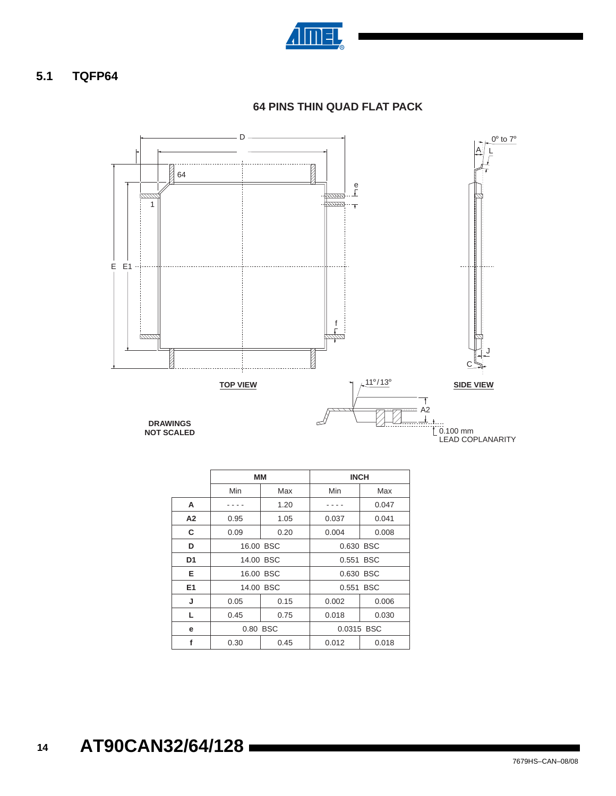

### **5.1 TQFP64**



**64 PINS THIN QUAD FLAT PACK**

|    |      |           | <b>INCH</b>    |       |  |  |  |
|----|------|-----------|----------------|-------|--|--|--|
|    |      | MМ        |                |       |  |  |  |
|    | Min  | Max       | Min            | Max   |  |  |  |
| A  |      | 1.20      |                | 0.047 |  |  |  |
| A2 | 0.95 | 1.05      | 0.037          | 0.041 |  |  |  |
| C  | 0.09 | 0.20      | 0.004          | 0.008 |  |  |  |
| D  |      | 16.00 BSC | 0.630 BSC      |       |  |  |  |
| D1 |      | 14.00 BSC | 0.551 BSC      |       |  |  |  |
| Е  |      | 16.00 BSC | 0.630 BSC      |       |  |  |  |
| E1 |      | 14.00 BSC | 0.551 BSC      |       |  |  |  |
| J  | 0.05 | 0.15      | 0.002          | 0.006 |  |  |  |
| L  | 0.45 | 0.75      | 0.018          | 0.030 |  |  |  |
| е  |      | 0.80 BSC  | 0.0315 BSC     |       |  |  |  |
| f  | 0.30 | 0.45      | 0.012<br>0.018 |       |  |  |  |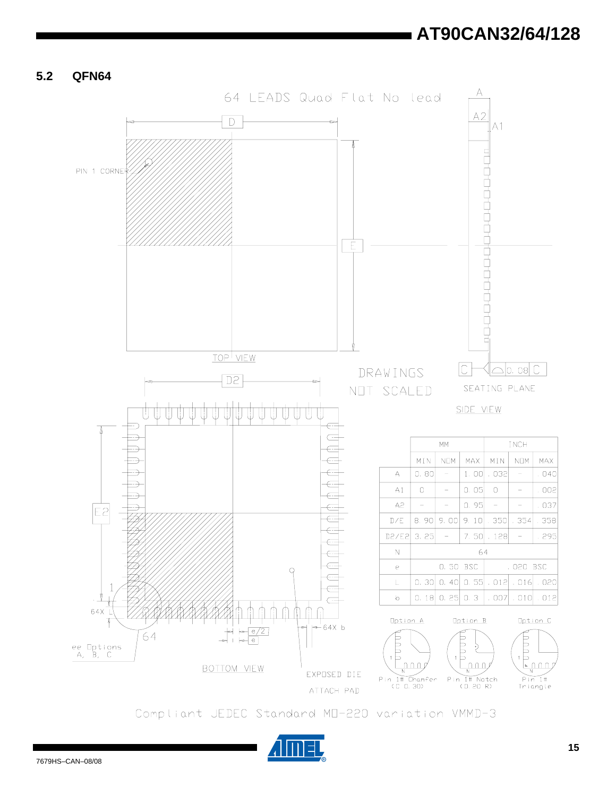**5.2 QFN64**



Compliant JEDEC Standard MD-220 variation VMMD-3

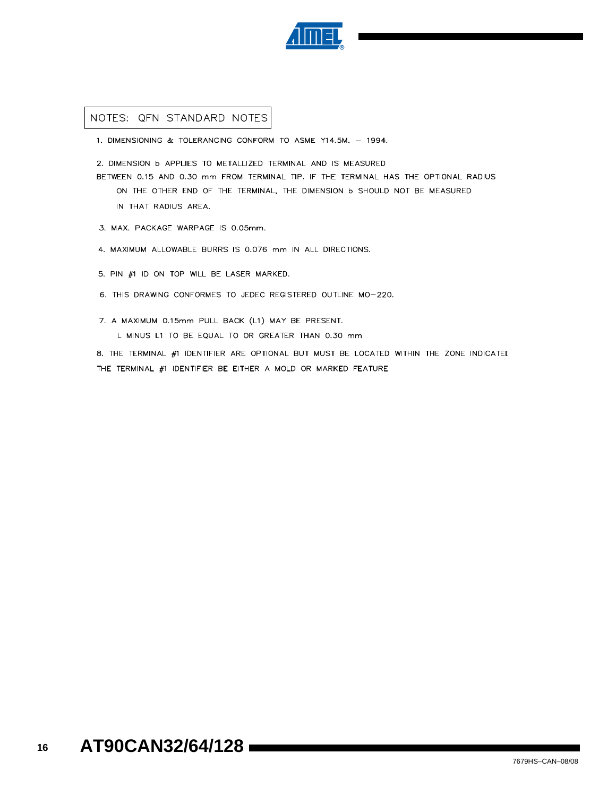

#### NOTES: QFN STANDARD NOTES

- 1. DIMENSIONING & TOLERANCING CONFORM TO ASME Y14.5M. 1994.
- 2. DIMENSION b APPLIES TO METALLIZED TERMINAL AND IS MEASURED
- BETWEEN 0.15 AND 0.30 mm FROM TERMINAL TIP. IF THE TERMINAL HAS THE OPTIONAL RADIUS ON THE OTHER END OF THE TERMINAL, THE DIMENSION b SHOULD NOT BE MEASURED IN THAT RADIUS AREA.
- 3. MAX. PACKAGE WARPAGE IS 0.05mm.
- 4. MAXIMUM ALLOWABLE BURRS IS 0.076 mm IN ALL DIRECTIONS.
- 5. PIN #1 ID ON TOP WILL BE LASER MARKED.
- 6. THIS DRAWING CONFORMES TO JEDEC REGISTERED OUTLINE MO-220.
- 7. A MAXIMUM 0.15mm PULL BACK (L1) MAY BE PRESENT.
	- L MINUS L1 TO BE EQUAL TO OR GREATER THAN 0.30 mm

8. THE TERMINAL #1 IDENTIFIER ARE OPTIONAL BUT MUST BE LOCATED WITHIN THE ZONE INDICATEI THE TERMINAL #1 IDENTIFIER BE EITHER A MOLD OR MARKED FEATURE